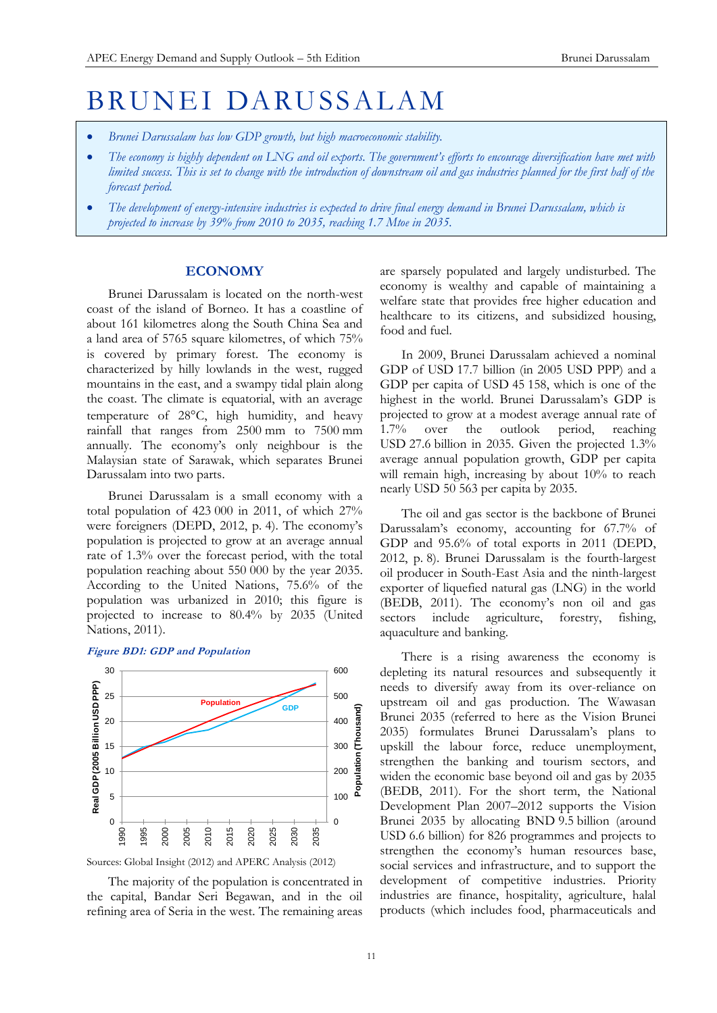# BRUNEI DARUSSALAM

- *Brunei Darussalam has low GDP growth, but high macroeconomic stability.*
- *The economy is highly dependent on LNG and oil exports. The government's efforts to encourage diversification have met with limited success. This is set to change with the introduction of downstream oil and gas industries planned for the first half of the forecast period.*
- *The development of energy-intensive industries is expected to drive final energy demand in Brunei Darussalam, which is projected to increase by 39% from 2010 to 2035, reaching 1.7 Mtoe in 2035.*

# **ECONOMY**

Brunei Darussalam is located on the north-west coast of the island of Borneo. It has a coastline of about 161 kilometres along the South China Sea and a land area of 5765 square kilometres, of which 75% is covered by primary forest. The economy is characterized by hilly lowlands in the west, rugged mountains in the east, and a swampy tidal plain along the coast. The climate is equatorial, with an average temperature of 28°C, high humidity, and heavy rainfall that ranges from 2500 mm to 7500 mm annually. The economy's only neighbour is the Malaysian state of Sarawak, which separates Brunei Darussalam into two parts.

Brunei Darussalam is a small economy with a total population of 423 000 in 2011, of which 27% were foreigners (DEPD, 2012, p. 4). The economy's population is projected to grow at an average annual rate of 1.3% over the forecast period, with the total population reaching about 550 000 by the year 2035. According to the United Nations, 75.6% of the population was urbanized in 2010; this figure is projected to increase to 80.4% by 2035 (United Nations, 2011).

#### **Figure BD1: GDP and Population**



Sources: Global Insight (2012) and APERC Analysis (2012)

The majority of the population is concentrated in the capital, Bandar Seri Begawan, and in the oil refining area of Seria in the west. The remaining areas are sparsely populated and largely undisturbed. The economy is wealthy and capable of maintaining a welfare state that provides free higher education and healthcare to its citizens, and subsidized housing, food and fuel.

In 2009, Brunei Darussalam achieved a nominal GDP of USD 17.7 billion (in 2005 USD PPP) and a GDP per capita of USD 45 158, which is one of the highest in the world. Brunei Darussalam's GDP is projected to grow at a modest average annual rate of 1.7% over the outlook period, reaching 1.7% over the outlook period, reaching USD 27.6 billion in 2035. Given the projected 1.3% average annual population growth, GDP per capita will remain high, increasing by about 10% to reach nearly USD 50 563 per capita by 2035.

The oil and gas sector is the backbone of Brunei Darussalam's economy, accounting for 67.7% of GDP and 95.6% of total exports in 2011 (DEPD, 2012, p. 8). Brunei Darussalam is the fourth-largest oil producer in South-East Asia and the ninth-largest exporter of liquefied natural gas (LNG) in the world (BEDB, 2011). The economy's non oil and gas sectors include agriculture, forestry, fishing, aquaculture and banking.

There is a rising awareness the economy is depleting its natural resources and subsequently it needs to diversify away from its over-reliance on upstream oil and gas production. The Wawasan Brunei 2035 (referred to here as the Vision Brunei 2035) formulates Brunei Darussalam's plans to upskill the labour force, reduce unemployment, strengthen the banking and tourism sectors, and widen the economic base beyond oil and gas by 2035 (BEDB, 2011). For the short term, the National Development Plan 2007–2012 supports the Vision Brunei 2035 by allocating BND 9.5 billion (around USD 6.6 billion) for 826 programmes and projects to strengthen the economy's human resources base, social services and infrastructure, and to support the development of competitive industries. Priority industries are finance, hospitality, agriculture, halal products (which includes food, pharmaceuticals and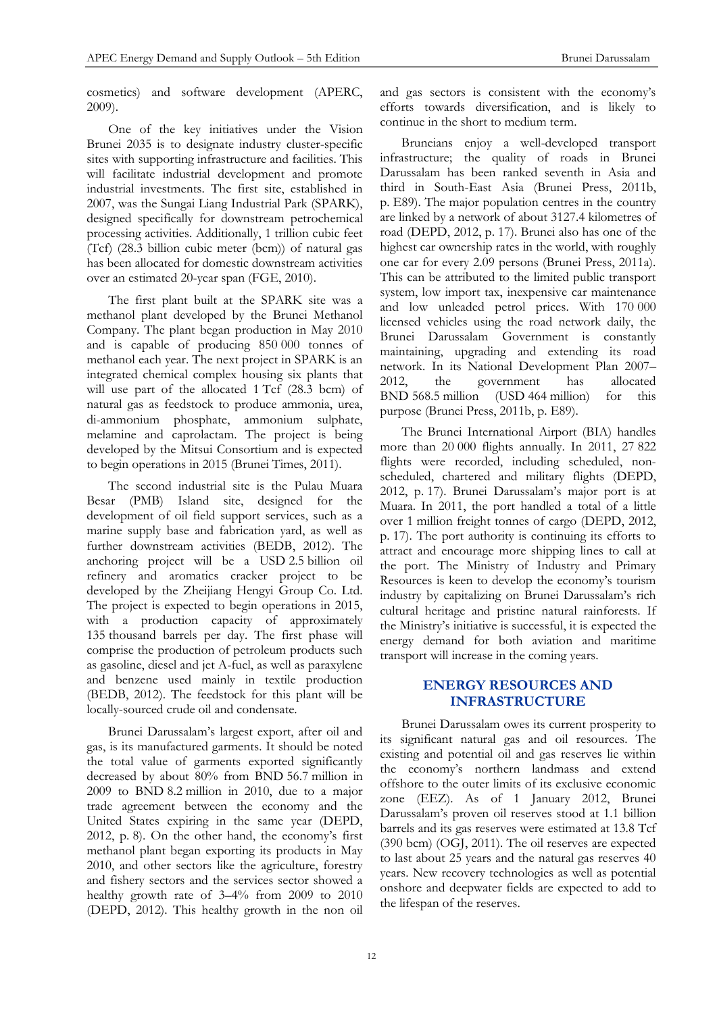cosmetics) and software development (APERC, 2009).

One of the key initiatives under the Vision Brunei 2035 is to designate industry cluster-specific sites with supporting infrastructure and facilities. This will facilitate industrial development and promote industrial investments. The first site, established in 2007, was the Sungai Liang Industrial Park (SPARK), designed specifically for downstream petrochemical processing activities. Additionally, 1 trillion cubic feet (Tcf) (28.3 billion cubic meter (bcm)) of natural gas has been allocated for domestic downstream activities over an estimated 20-year span (FGE, 2010).

The first plant built at the SPARK site was a methanol plant developed by the Brunei Methanol Company. The plant began production in May 2010 and is capable of producing 850 000 tonnes of methanol each year. The next project in SPARK is an integrated chemical complex housing six plants that will use part of the allocated 1 Tcf (28.3 bcm) of natural gas as feedstock to produce ammonia, urea, di-ammonium phosphate, ammonium sulphate, melamine and caprolactam. The project is being developed by the Mitsui Consortium and is expected to begin operations in 2015 (Brunei Times, 2011).

The second industrial site is the Pulau Muara Besar (PMB) Island site, designed for the development of oil field support services, such as a marine supply base and fabrication yard, as well as further downstream activities (BEDB, 2012). The anchoring project will be a USD 2.5 billion oil refinery and aromatics cracker project to be developed by the Zheijiang Hengyi Group Co. Ltd. The project is expected to begin operations in 2015, with a production capacity of approximately 135 thousand barrels per day. The first phase will comprise the production of petroleum products such as gasoline, diesel and jet A-fuel, as well as paraxylene and benzene used mainly in textile production (BEDB, 2012). The feedstock for this plant will be locally-sourced crude oil and condensate.

Brunei Darussalam's largest export, after oil and gas, is its manufactured garments. It should be noted the total value of garments exported significantly decreased by about 80% from BND 56.7 million in 2009 to BND 8.2 million in 2010, due to a major trade agreement between the economy and the United States expiring in the same year (DEPD, 2012, p. 8). On the other hand, the economy's first methanol plant began exporting its products in May 2010, and other sectors like the agriculture, forestry and fishery sectors and the services sector showed a healthy growth rate of 3–4% from 2009 to 2010 (DEPD, 2012). This healthy growth in the non oil

and gas sectors is consistent with the economy's efforts towards diversification, and is likely to continue in the short to medium term.

Bruneians enjoy a well-developed transport infrastructure; the quality of roads in Brunei Darussalam has been ranked seventh in Asia and third in South-East Asia (Brunei Press, 2011b, p. E89). The major population centres in the country are linked by a network of about 3127.4 kilometres of road (DEPD, 2012, p. 17). Brunei also has one of the highest car ownership rates in the world, with roughly one car for every 2.09 persons (Brunei Press, 2011a). This can be attributed to the limited public transport system, low import tax, inexpensive car maintenance and low unleaded petrol prices. With 170 000 licensed vehicles using the road network daily, the Brunei Darussalam Government is constantly maintaining, upgrading and extending its road network. In its National Development Plan 2007– 2012, the government has allocated BND 568.5 million (USD 464 million) for this purpose (Brunei Press, 2011b, p. E89).

The Brunei International Airport (BIA) handles more than 20 000 flights annually. In 2011, 27 822 flights were recorded, including scheduled, nonscheduled, chartered and military flights (DEPD, 2012, p. 17). Brunei Darussalam's major port is at Muara. In 2011, the port handled a total of a little over 1 million freight tonnes of cargo (DEPD, 2012, p. 17). The port authority is continuing its efforts to attract and encourage more shipping lines to call at the port. The Ministry of Industry and Primary Resources is keen to develop the economy's tourism industry by capitalizing on Brunei Darussalam's rich cultural heritage and pristine natural rainforests. If the Ministry's initiative is successful, it is expected the energy demand for both aviation and maritime transport will increase in the coming years.

# **ENERGY RESOURCES AND INFRASTRUCTURE**

Brunei Darussalam owes its current prosperity to its significant natural gas and oil resources. The existing and potential oil and gas reserves lie within the economy's northern landmass and extend offshore to the outer limits of its exclusive economic zone (EEZ). As of 1 January 2012, Brunei Darussalam's proven oil reserves stood at 1.1 billion barrels and its gas reserves were estimated at 13.8 Tcf (390 bcm) (OGJ, 2011). The oil reserves are expected to last about 25 years and the natural gas reserves 40 years. New recovery technologies as well as potential onshore and deepwater fields are expected to add to the lifespan of the reserves.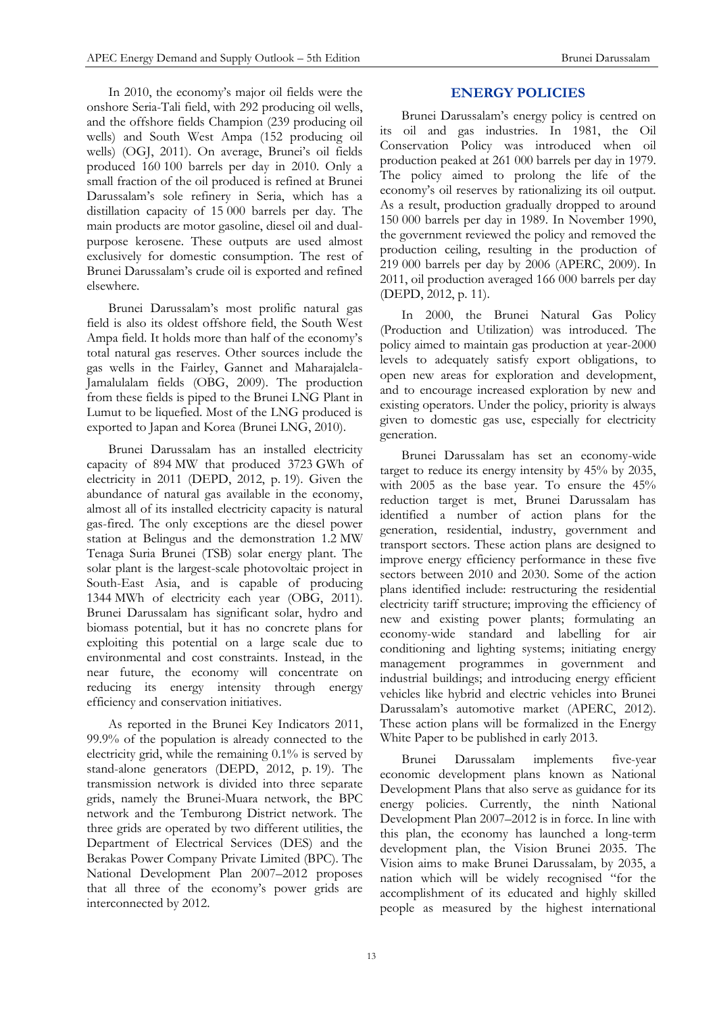In 2010, the economy's major oil fields were the onshore Seria-Tali field, with 292 producing oil wells, and the offshore fields Champion (239 producing oil wells) and South West Ampa (152 producing oil wells) (OGJ, 2011). On average, Brunei's oil fields produced 160 100 barrels per day in 2010. Only a small fraction of the oil produced is refined at Brunei Darussalam's sole refinery in Seria, which has a distillation capacity of 15 000 barrels per day. The main products are motor gasoline, diesel oil and dualpurpose kerosene. These outputs are used almost exclusively for domestic consumption. The rest of Brunei Darussalam's crude oil is exported and refined elsewhere.

Brunei Darussalam's most prolific natural gas field is also its oldest offshore field, the South West Ampa field. It holds more than half of the economy's total natural gas reserves. Other sources include the gas wells in the Fairley, Gannet and Maharajalela-Jamalulalam fields (OBG, 2009). The production from these fields is piped to the Brunei LNG Plant in Lumut to be liquefied. Most of the LNG produced is exported to Japan and Korea (Brunei LNG, 2010).

Brunei Darussalam has an installed electricity capacity of 894 MW that produced 3723 GWh of electricity in 2011 (DEPD, 2012, p. 19). Given the abundance of natural gas available in the economy, almost all of its installed electricity capacity is natural gas-fired. The only exceptions are the diesel power station at Belingus and the demonstration 1.2 MW Tenaga Suria Brunei (TSB) solar energy plant. The solar plant is the largest-scale photovoltaic project in South-East Asia, and is capable of producing 1344 MWh of electricity each year (OBG, 2011). Brunei Darussalam has significant solar, hydro and biomass potential, but it has no concrete plans for exploiting this potential on a large scale due to environmental and cost constraints. Instead, in the near future, the economy will concentrate on reducing its energy intensity through energy efficiency and conservation initiatives.

As reported in the Brunei Key Indicators 2011, 99.9% of the population is already connected to the electricity grid, while the remaining 0.1% is served by stand-alone generators (DEPD, 2012, p. 19). The transmission network is divided into three separate grids, namely the Brunei-Muara network, the BPC network and the Temburong District network. The three grids are operated by two different utilities, the Department of Electrical Services (DES) and the Berakas Power Company Private Limited (BPC). The National Development Plan 2007–2012 proposes that all three of the economy's power grids are interconnected by 2012.

# **ENERGY POLICIES**

Brunei Darussalam's energy policy is centred on its oil and gas industries. In 1981, the Oil Conservation Policy was introduced when oil production peaked at 261 000 barrels per day in 1979. The policy aimed to prolong the life of the economy's oil reserves by rationalizing its oil output. As a result, production gradually dropped to around 150 000 barrels per day in 1989. In November 1990, the government reviewed the policy and removed the production ceiling, resulting in the production of 219 000 barrels per day by 2006 (APERC, 2009). In 2011, oil production averaged 166 000 barrels per day (DEPD, 2012, p. 11).

In 2000, the Brunei Natural Gas Policy (Production and Utilization) was introduced. The policy aimed to maintain gas production at year-2000 levels to adequately satisfy export obligations, to open new areas for exploration and development, and to encourage increased exploration by new and existing operators. Under the policy, priority is always given to domestic gas use, especially for electricity generation.

Brunei Darussalam has set an economy-wide target to reduce its energy intensity by 45% by 2035, with 2005 as the base year. To ensure the 45% reduction target is met, Brunei Darussalam has identified a number of action plans for the generation, residential, industry, government and transport sectors. These action plans are designed to improve energy efficiency performance in these five sectors between 2010 and 2030. Some of the action plans identified include: restructuring the residential electricity tariff structure; improving the efficiency of new and existing power plants; formulating an economy-wide standard and labelling for air conditioning and lighting systems; initiating energy management programmes in government and industrial buildings; and introducing energy efficient vehicles like hybrid and electric vehicles into Brunei Darussalam's automotive market (APERC, 2012). These action plans will be formalized in the Energy White Paper to be published in early 2013.

Brunei Darussalam implements five-year economic development plans known as National Development Plans that also serve as guidance for its energy policies. Currently, the ninth National Development Plan 2007–2012 is in force. In line with this plan, the economy has launched a long-term development plan, the Vision Brunei 2035. The Vision aims to make Brunei Darussalam, by 2035, a nation which will be widely recognised "for the accomplishment of its educated and highly skilled people as measured by the highest international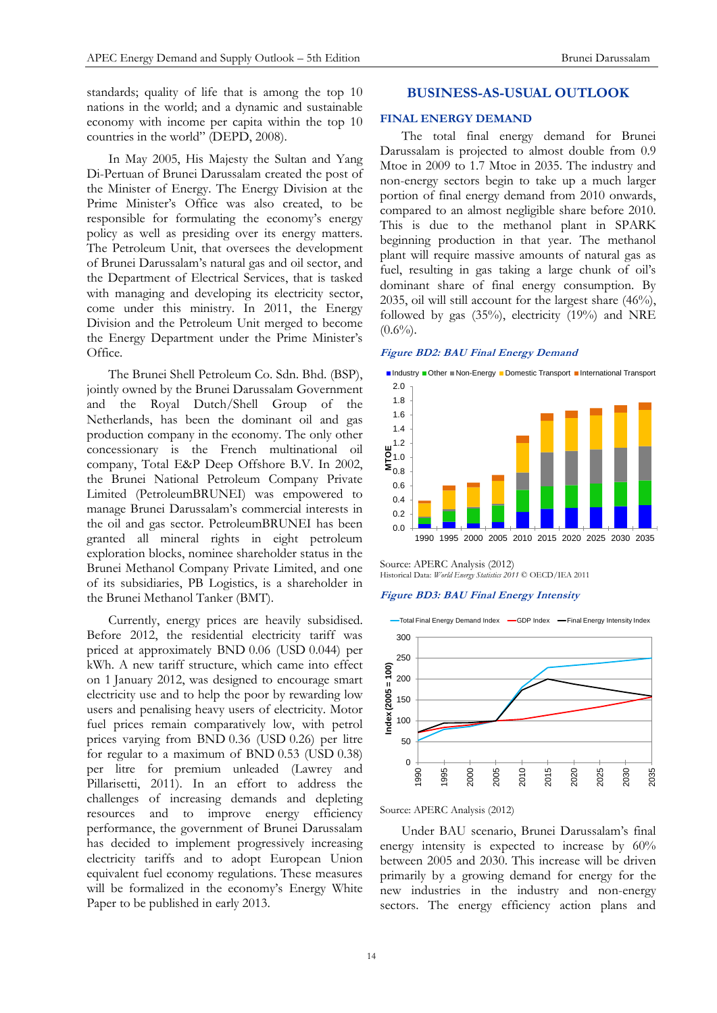standards; quality of life that is among the top 10 nations in the world; and a dynamic and sustainable economy with income per capita within the top 10 countries in the world" (DEPD, 2008).

In May 2005, His Majesty the Sultan and Yang Di-Pertuan of Brunei Darussalam created the post of the Minister of Energy. The Energy Division at the Prime Minister's Office was also created, to be responsible for formulating the economy's energy policy as well as presiding over its energy matters. The Petroleum Unit, that oversees the development of Brunei Darussalam's natural gas and oil sector, and the Department of Electrical Services, that is tasked with managing and developing its electricity sector, come under this ministry. In 2011, the Energy Division and the Petroleum Unit merged to become the Energy Department under the Prime Minister's Office.

The Brunei Shell Petroleum Co. Sdn. Bhd. (BSP), jointly owned by the Brunei Darussalam Government and the Royal Dutch/Shell Group of the Netherlands, has been the dominant oil and gas production company in the economy. The only other concessionary is the French multinational oil company, Total E&P Deep Offshore B.V. In 2002, the Brunei National Petroleum Company Private Limited (PetroleumBRUNEI) was empowered to manage Brunei Darussalam's commercial interests in the oil and gas sector. PetroleumBRUNEI has been granted all mineral rights in eight petroleum exploration blocks, nominee shareholder status in the Brunei Methanol Company Private Limited, and one of its subsidiaries, PB Logistics, is a shareholder in the Brunei Methanol Tanker (BMT).

Currently, energy prices are heavily subsidised. Before 2012, the residential electricity tariff was priced at approximately BND 0.06 (USD 0.044) per kWh. A new tariff structure, which came into effect on 1 January 2012, was designed to encourage smart electricity use and to help the poor by rewarding low users and penalising heavy users of electricity. Motor fuel prices remain comparatively low, with petrol prices varying from BND 0.36 (USD 0.26) per litre for regular to a maximum of BND 0.53 (USD 0.38) per litre for premium unleaded (Lawrey and Pillarisetti, 2011). In an effort to address the challenges of increasing demands and depleting resources and to improve energy efficiency performance, the government of Brunei Darussalam has decided to implement progressively increasing electricity tariffs and to adopt European Union equivalent fuel economy regulations. These measures will be formalized in the economy's Energy White Paper to be published in early 2013.

## **BUSINESS-AS-USUAL OUTLOOK**

#### **FINAL ENERGY DEMAND**

The total final energy demand for Brunei Darussalam is projected to almost double from 0.9 Mtoe in 2009 to 1.7 Mtoe in 2035. The industry and non-energy sectors begin to take up a much larger portion of final energy demand from 2010 onwards, compared to an almost negligible share before 2010. This is due to the methanol plant in SPARK beginning production in that year. The methanol plant will require massive amounts of natural gas as fuel, resulting in gas taking a large chunk of oil's dominant share of final energy consumption. By 2035, oil will still account for the largest share (46%), followed by gas (35%), electricity (19%) and NRE  $(0.6\%)$ .

#### **Figure BD2: BAU Final Energy Demand**



Source: APERC Analysis (2012)

Historical Data: *World Energy Statistics 2011* © OECD/IEA 2011

#### **Figure BD3: BAU Final Energy Intensity**



Source: APERC Analysis (2012)

Under BAU scenario, Brunei Darussalam's final energy intensity is expected to increase by  $60\%$ between 2005 and 2030. This increase will be driven primarily by a growing demand for energy for the new industries in the industry and non-energy sectors. The energy efficiency action plans and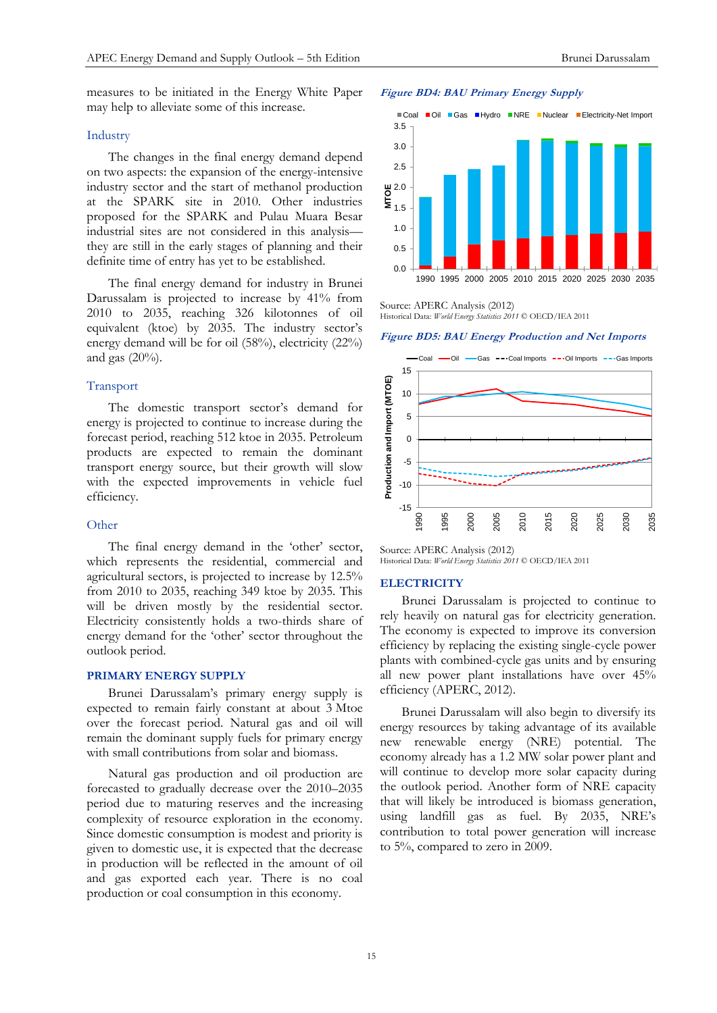## Industry

The changes in the final energy demand depend on two aspects: the expansion of the energy-intensive industry sector and the start of methanol production at the SPARK site in 2010. Other industries proposed for the SPARK and Pulau Muara Besar industrial sites are not considered in this analysis they are still in the early stages of planning and their definite time of entry has yet to be established.

The final energy demand for industry in Brunei Darussalam is projected to increase by 41% from 2010 to 2035, reaching 326 kilotonnes of oil equivalent (ktoe) by 2035. The industry sector's energy demand will be for oil (58%), electricity (22%) and gas  $(20\%)$ .

## Transport

The domestic transport sector's demand for energy is projected to continue to increase during the forecast period, reaching 512 ktoe in 2035. Petroleum products are expected to remain the dominant transport energy source, but their growth will slow with the expected improvements in vehicle fuel efficiency.

## **Other**

The final energy demand in the 'other' sector, which represents the residential, commercial and agricultural sectors, is projected to increase by 12.5% from 2010 to 2035, reaching 349 ktoe by 2035. This will be driven mostly by the residential sector. Electricity consistently holds a two-thirds share of energy demand for the 'other' sector throughout the outlook period.

## **PRIMARY ENERGY SUPPLY**

Brunei Darussalam's primary energy supply is expected to remain fairly constant at about 3 Mtoe over the forecast period. Natural gas and oil will remain the dominant supply fuels for primary energy with small contributions from solar and biomass.

Natural gas production and oil production are forecasted to gradually decrease over the 2010–2035 period due to maturing reserves and the increasing complexity of resource exploration in the economy. Since domestic consumption is modest and priority is given to domestic use, it is expected that the decrease in production will be reflected in the amount of oil and gas exported each year. There is no coal production or coal consumption in this economy.

#### **Figure BD4: BAU Primary Energy Supply**



Source: APERC Analysis (2012) Historical Data: *World Energy Statistics 2011* © OECD/IEA 2011

**Figure BD5: BAU Energy Production and Net Imports**



Source: APERC Analysis (2012) Historical Data: *World Energy Statistics 2011* © OECD/IEA 2011

## **ELECTRICITY**

Brunei Darussalam is projected to continue to rely heavily on natural gas for electricity generation. The economy is expected to improve its conversion efficiency by replacing the existing single-cycle power plants with combined-cycle gas units and by ensuring all new power plant installations have over 45% efficiency (APERC, 2012).

Brunei Darussalam will also begin to diversify its energy resources by taking advantage of its available new renewable energy (NRE) potential. The economy already has a 1.2 MW solar power plant and will continue to develop more solar capacity during the outlook period. Another form of NRE capacity that will likely be introduced is biomass generation, using landfill gas as fuel. By 2035, NRE's contribution to total power generation will increase to 5%, compared to zero in 2009.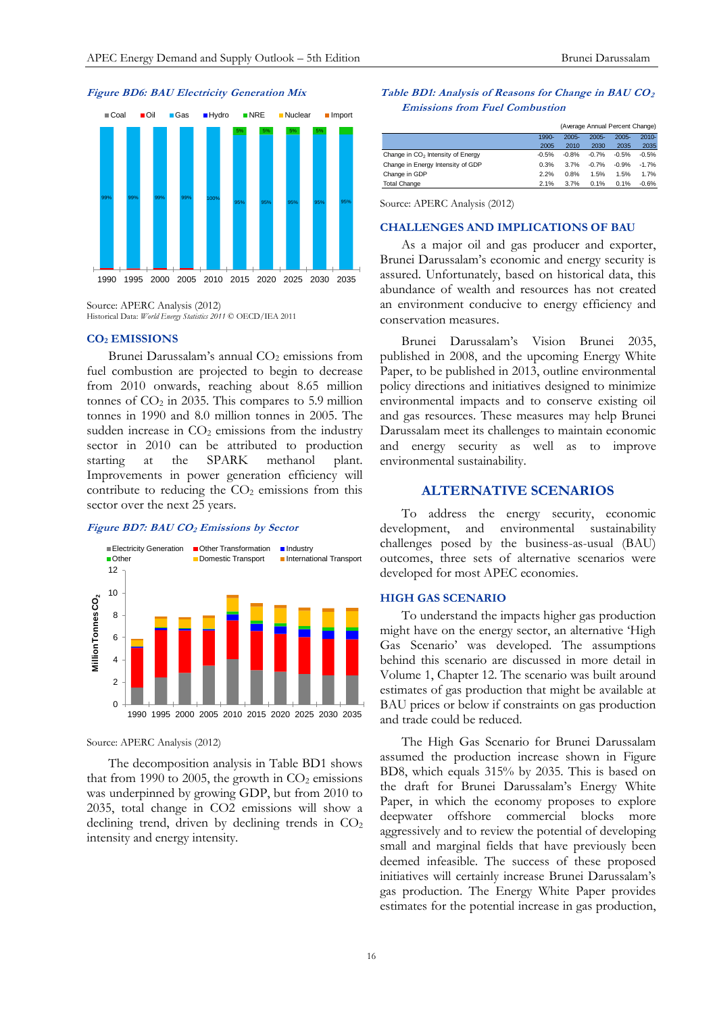#### **Figure BD6: BAU Electricity Generation Mix**



Source: APERC Analysis (2012) Historical Data: *World Energy Statistics 2011* © OECD/IEA 2011

# **CO<sup>2</sup> EMISSIONS**

Brunei Darussalam's annual  $CO<sub>2</sub>$  emissions from fuel combustion are projected to begin to decrease from 2010 onwards, reaching about 8.65 million tonnes of  $CO<sub>2</sub>$  in 2035. This compares to 5.9 million tonnes in 1990 and 8.0 million tonnes in 2005. The sudden increase in  $CO<sub>2</sub>$  emissions from the industry sector in 2010 can be attributed to production<br>starting at the SPARK methanol plant. starting at the SPARK methanol plant. Improvements in power generation efficiency will contribute to reducing the  $CO<sub>2</sub>$  emissions from this sector over the next 25 years.

#### **Figure BD7: BAU CO<sup>2</sup> Emissions by Sector**



Source: APERC Analysis (2012)

The decomposition analysis in Table BD1 shows that from 1990 to 2005, the growth in  $CO<sub>2</sub>$  emissions was underpinned by growing GDP, but from 2010 to 2035, total change in CO2 emissions will show a declining trend, driven by declining trends in  $CO<sub>2</sub>$ intensity and energy intensity.

#### **Table BD1: Analysis of Reasons for Change in BAU CO<sup>2</sup> Emissions from Fuel Combustion**

|                                               |         | (Average Annual Percent Change) |          |          |          |
|-----------------------------------------------|---------|---------------------------------|----------|----------|----------|
|                                               | 1990-   | $2005 -$                        | $2005 -$ | $2005 -$ | $2010 -$ |
|                                               | 2005    | 2010                            | 2030     | 2035     | 2035     |
| Change in CO <sub>2</sub> Intensity of Energy | $-0.5%$ | $-0.8%$                         | $-0.7%$  | $-0.5%$  | $-0.5%$  |
| Change in Energy Intensity of GDP             | 0.3%    | 3.7%                            | $-0.7%$  | $-0.9%$  | $-1.7%$  |
| Change in GDP                                 | 2.2%    | 0.8%                            | 1.5%     | 1.5%     | 1.7%     |
| <b>Total Change</b>                           | 2.1%    | 3.7%                            | 0.1%     | 0.1%     | $-0.6%$  |

Source: APERC Analysis (2012)

#### **CHALLENGES AND IMPLICATIONS OF BAU**

As a major oil and gas producer and exporter, Brunei Darussalam's economic and energy security is assured. Unfortunately, based on historical data, this abundance of wealth and resources has not created an environment conducive to energy efficiency and conservation measures.

Brunei Darussalam's Vision Brunei 2035, published in 2008, and the upcoming Energy White Paper, to be published in 2013, outline environmental policy directions and initiatives designed to minimize environmental impacts and to conserve existing oil and gas resources. These measures may help Brunei Darussalam meet its challenges to maintain economic and energy security as well as to improve environmental sustainability.

## **ALTERNATIVE SCENARIOS**

To address the energy security, economic development, and environmental sustainability challenges posed by the business-as-usual (BAU) outcomes, three sets of alternative scenarios were developed for most APEC economies.

## **HIGH GAS SCENARIO**

To understand the impacts higher gas production might have on the energy sector, an alternative 'High Gas Scenario' was developed. The assumptions behind this scenario are discussed in more detail in Volume 1, Chapter 12. The scenario was built around estimates of gas production that might be available at BAU prices or below if constraints on gas production and trade could be reduced.

The High Gas Scenario for Brunei Darussalam assumed the production increase shown in Figure BD8, which equals 315% by 2035. This is based on the draft for Brunei Darussalam's Energy White Paper, in which the economy proposes to explore deepwater offshore commercial blocks more aggressively and to review the potential of developing small and marginal fields that have previously been deemed infeasible. The success of these proposed initiatives will certainly increase Brunei Darussalam's gas production. The Energy White Paper provides estimates for the potential increase in gas production,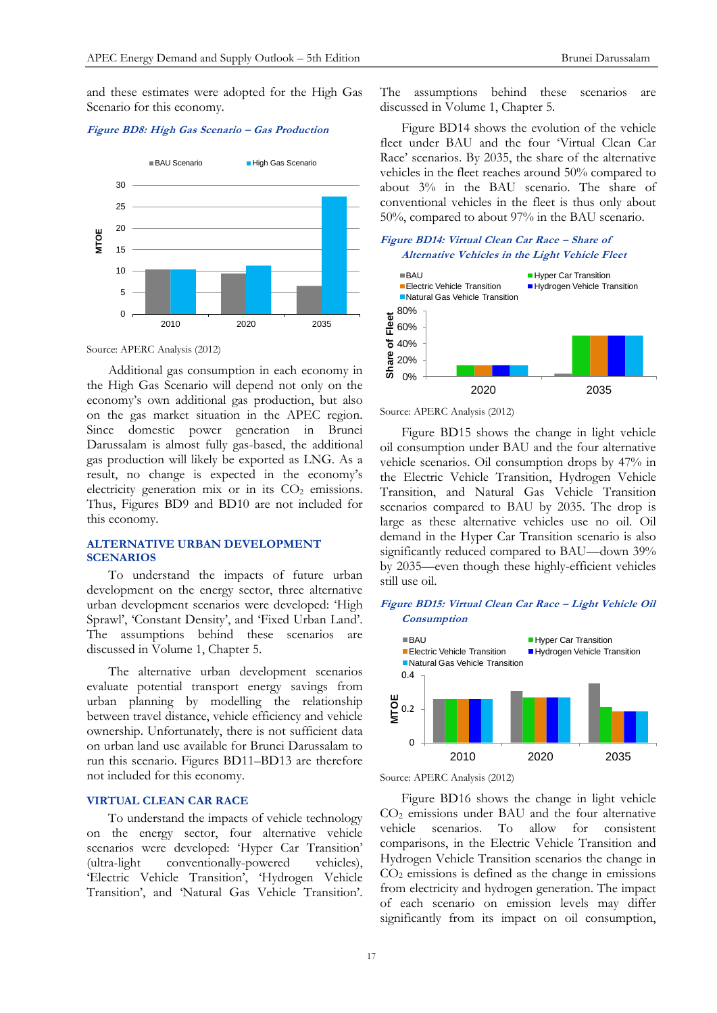and these estimates were adopted for the High Gas Scenario for this economy.

#### **Figure BD8: High Gas Scenario – Gas Production**



Source: APERC Analysis (2012)

Additional gas consumption in each economy in the High Gas Scenario will depend not only on the economy's own additional gas production, but also on the gas market situation in the APEC region. Since domestic power generation in Brunei Darussalam is almost fully gas-based, the additional gas production will likely be exported as LNG. As a result, no change is expected in the economy's electricity generation mix or in its  $CO<sub>2</sub>$  emissions. Thus, Figures BD9 and BD10 are not included for this economy.

## **ALTERNATIVE URBAN DEVELOPMENT SCENARIOS**

To understand the impacts of future urban development on the energy sector, three alternative urban development scenarios were developed: 'High Sprawl', 'Constant Density', and 'Fixed Urban Land'. The assumptions behind these scenarios are discussed in Volume 1, Chapter 5.

The alternative urban development scenarios evaluate potential transport energy savings from urban planning by modelling the relationship between travel distance, vehicle efficiency and vehicle ownership. Unfortunately, there is not sufficient data on urban land use available for Brunei Darussalam to run this scenario. Figures BD11–BD13 are therefore not included for this economy.

## **VIRTUAL CLEAN CAR RACE**

To understand the impacts of vehicle technology on the energy sector, four alternative vehicle scenarios were developed: 'Hyper Car Transition' (ultra-light conventionally-powered vehicles), 'Electric Vehicle Transition', 'Hydrogen Vehicle Transition', and 'Natural Gas Vehicle Transition'.

The assumptions behind these scenarios are discussed in Volume 1, Chapter 5.

Figure BD14 shows the evolution of the vehicle fleet under BAU and the four 'Virtual Clean Car Race' scenarios. By 2035, the share of the alternative vehicles in the fleet reaches around 50% compared to about 3% in the BAU scenario. The share of conventional vehicles in the fleet is thus only about 50%, compared to about 97% in the BAU scenario.

## **Figure BD14: Virtual Clean Car Race – Share of Alternative Vehicles in the Light Vehicle Fleet**



Source: APERC Analysis (2012)

Figure BD15 shows the change in light vehicle oil consumption under BAU and the four alternative vehicle scenarios. Oil consumption drops by 47% in the Electric Vehicle Transition, Hydrogen Vehicle Transition, and Natural Gas Vehicle Transition scenarios compared to BAU by 2035. The drop is large as these alternative vehicles use no oil. Oil demand in the Hyper Car Transition scenario is also significantly reduced compared to BAU—down 39% by 2035—even though these highly-efficient vehicles still use oil.

#### **Figure BD15: Virtual Clean Car Race – Light Vehicle Oil Consumption**



Source: APERC Analysis (2012)

Figure BD16 shows the change in light vehicle CO<sup>2</sup> emissions under BAU and the four alternative vehicle scenarios. To allow for consistent comparisons, in the Electric Vehicle Transition and Hydrogen Vehicle Transition scenarios the change in  $CO<sub>2</sub>$  emissions is defined as the change in emissions from electricity and hydrogen generation. The impact of each scenario on emission levels may differ significantly from its impact on oil consumption,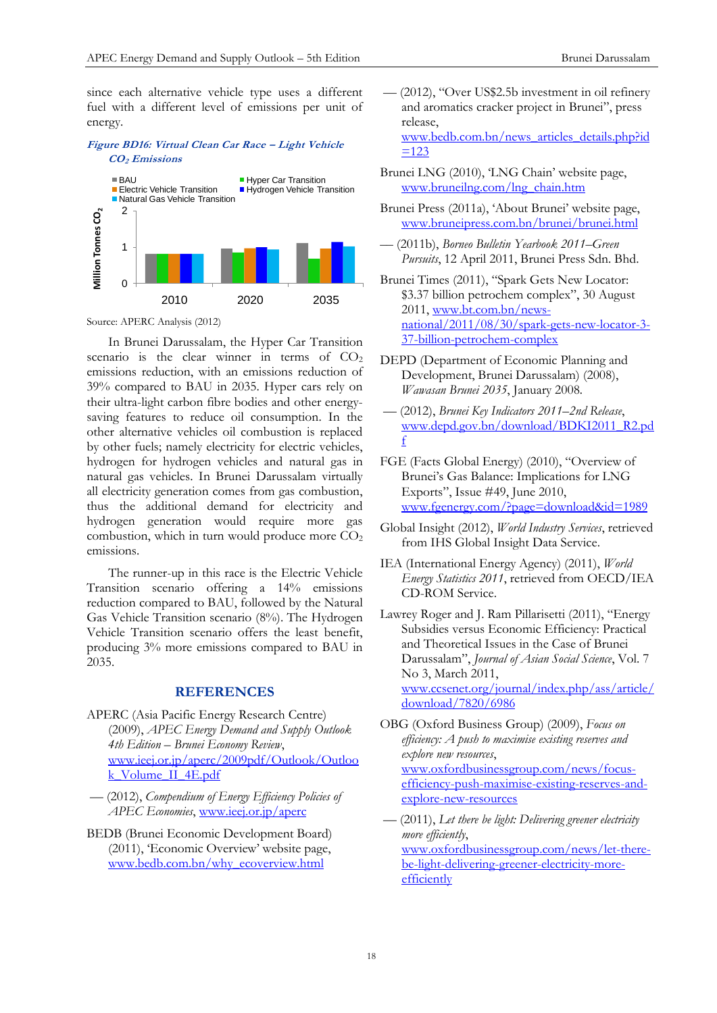since each alternative vehicle type uses a different fuel with a different level of emissions per unit of energy.

## **Figure BD16: Virtual Clean Car Race – Light Vehicle CO2 Emissions**



Source: APERC Analysis (2012)

In Brunei Darussalam, the Hyper Car Transition scenario is the clear winner in terms of  $CO<sub>2</sub>$ emissions reduction, with an emissions reduction of 39% compared to BAU in 2035. Hyper cars rely on their ultra-light carbon fibre bodies and other energysaving features to reduce oil consumption. In the other alternative vehicles oil combustion is replaced by other fuels; namely electricity for electric vehicles, hydrogen for hydrogen vehicles and natural gas in natural gas vehicles. In Brunei Darussalam virtually all electricity generation comes from gas combustion, thus the additional demand for electricity and hydrogen generation would require more gas combustion, which in turn would produce more  $CO<sub>2</sub>$ emissions.

The runner-up in this race is the Electric Vehicle Transition scenario offering a 14% emissions reduction compared to BAU, followed by the Natural Gas Vehicle Transition scenario (8%). The Hydrogen Vehicle Transition scenario offers the least benefit, producing 3% more emissions compared to BAU in 2035.

## **REFERENCES**

- APERC (Asia Pacific Energy Research Centre) (2009), *APEC Energy Demand and Supply Outlook 4th Edition – Brunei Economy Review*, [www.ieej.or.jp/aperc/2009pdf/Outlook/Outloo](http://www.ieej.or.jp/aperc/2009pdf/Outlook/Outlook_Volume_II_4E.pdf) [k\\_Volume\\_II\\_4E.pdf](http://www.ieej.or.jp/aperc/2009pdf/Outlook/Outlook_Volume_II_4E.pdf)
- –– (2012), *Compendium of Energy Efficiency Policies of APEC Economies*, [www.ieej.or.jp/aperc](http://www.ieej.or.jp/aperc)
- BEDB (Brunei Economic Development Board) (2011), 'Economic Overview' website page, [www.bedb.com.bn/why\\_ecoverview.html](http://www.bedb.com.bn/why_ecoverview.html)
- –– (2012), "Over US\$2.5b investment in oil refinery and aromatics cracker project in Brunei", press release, [www.bedb.com.bn/news\\_articles\\_details.php?id](http://www.bedb.com.bn/news_articles_details.php?id=123)  $=123$
- Brunei LNG (2010), 'LNG Chain' website page, [www.bruneilng.com/lng\\_chain.htm](http://www.bruneilng.com/lng_chain.htm)
- Brunei Press (2011a), 'About Brunei' website page, [www.bruneipress.com.bn/brunei/brunei.html](http://www.bruneipress.com.bn/brunei/brunei.html)
- –– (2011b), *Borneo Bulletin Yearbook 2011–Green Pursuits*, 12 April 2011, Brunei Press Sdn. Bhd.
- Brunei Times (2011), "Spark Gets New Locator: \$3.37 billion petrochem complex", 30 August 2011, [www.bt.com.bn/news](http://www.bt.com.bn/news-national/2011/08/30/spark-gets-new-locator-3-37-billion-petrochem-complex)[national/2011/08/30/spark-gets-new-locator-3-](http://www.bt.com.bn/news-national/2011/08/30/spark-gets-new-locator-3-37-billion-petrochem-complex) [37-billion-petrochem-complex](http://www.bt.com.bn/news-national/2011/08/30/spark-gets-new-locator-3-37-billion-petrochem-complex)
- DEPD (Department of Economic Planning and Development, Brunei Darussalam) (2008), *Wawasan Brunei 2035*, January 2008*.*
- –– (2012), *Brunei Key Indicators 2011–2nd Release*, [www.depd.gov.bn/download/BDKI2011\\_R2.pd](http://www.depd.gov.bn/download/BDKI2011_R2.pdf) [f](http://www.depd.gov.bn/download/BDKI2011_R2.pdf)
- FGE (Facts Global Energy) (2010), "Overview of Brunei's Gas Balance: Implications for LNG Exports", Issue #49, June 2010, [www.fgenergy.com/?page=download&id=1989](http://www.fgenergy.com/?page=download&id=1989)
- Global Insight (2012), *World Industry Services*, retrieved from IHS Global Insight Data Service.
- IEA (International Energy Agency) (2011), *World Energy Statistics 2011*, retrieved from OECD/IEA CD-ROM Service.
- Lawrey Roger and J. Ram Pillarisetti (2011), "Energy Subsidies versus Economic Efficiency: Practical and Theoretical Issues in the Case of Brunei Darussalam", *Journal of Asian Social Science*, Vol. 7 No 3, March 2011, [www.ccsenet.org/journal/index.php/ass/article/](http://www.ccsenet.org/journal/index.php/ass/article/download/7820/6986) [download/7820/6986](http://www.ccsenet.org/journal/index.php/ass/article/download/7820/6986)
- OBG (Oxford Business Group) (2009), *Focus on efficiency: A push to maximise existing reserves and explore new resources*, [www.oxfordbusinessgroup.com/news/focus](http://www.oxfordbusinessgroup.com/news/focus-efficiency-push-maximise-existing-reserves-and-explore-new-resources)[efficiency-push-maximise-existing-reserves-and](http://www.oxfordbusinessgroup.com/news/focus-efficiency-push-maximise-existing-reserves-and-explore-new-resources)[explore-new-resources](http://www.oxfordbusinessgroup.com/news/focus-efficiency-push-maximise-existing-reserves-and-explore-new-resources)
- –– (2011), *Let there be light: Delivering greener electricity more efficiently*, [www.oxfordbusinessgroup.com/news/let-there](http://www.oxfordbusinessgroup.com/news/let-there-be-light-delivering-greener-electricity-more-efficiently)[be-light-delivering-greener-electricity-more](http://www.oxfordbusinessgroup.com/news/let-there-be-light-delivering-greener-electricity-more-efficiently)[efficiently](http://www.oxfordbusinessgroup.com/news/let-there-be-light-delivering-greener-electricity-more-efficiently)